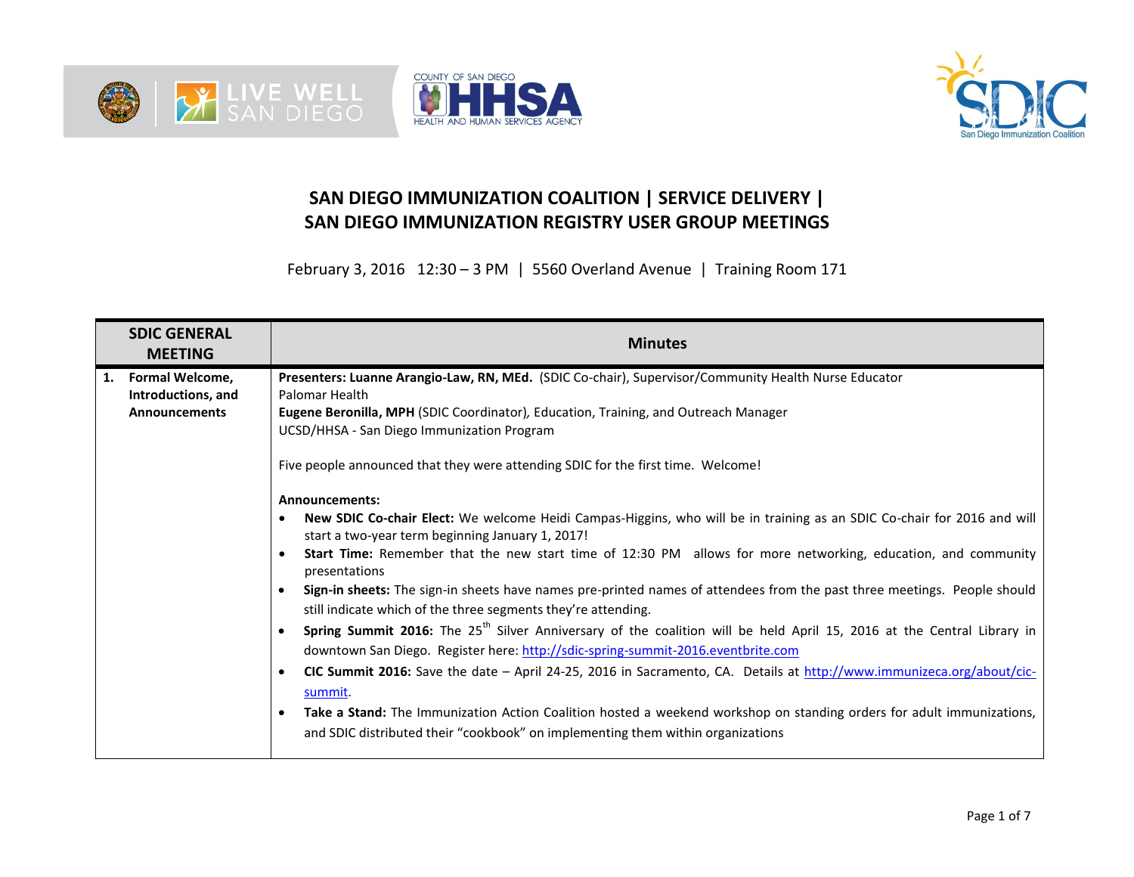





## **SAN DIEGO IMMUNIZATION COALITION | SERVICE DELIVERY | SAN DIEGO IMMUNIZATION REGISTRY USER GROUP MEETINGS**

February 3, 2016 12:30 – 3 PM | 5560 Overland Avenue | Training Room 171

| <b>SDIC GENERAL</b><br><b>MEETING</b>                               | <b>Minutes</b>                                                                                                                                                                                                                                                                                                                                                                                                                                                                                                                                                                                                                                                                                                                                                                                                                                                                                                                                                                                                                                                                                                                                                                                                                                                                                                                                                                                                                                                                                                 |  |  |  |  |
|---------------------------------------------------------------------|----------------------------------------------------------------------------------------------------------------------------------------------------------------------------------------------------------------------------------------------------------------------------------------------------------------------------------------------------------------------------------------------------------------------------------------------------------------------------------------------------------------------------------------------------------------------------------------------------------------------------------------------------------------------------------------------------------------------------------------------------------------------------------------------------------------------------------------------------------------------------------------------------------------------------------------------------------------------------------------------------------------------------------------------------------------------------------------------------------------------------------------------------------------------------------------------------------------------------------------------------------------------------------------------------------------------------------------------------------------------------------------------------------------------------------------------------------------------------------------------------------------|--|--|--|--|
| 1.<br>Formal Welcome,<br>Introductions, and<br><b>Announcements</b> | Presenters: Luanne Arangio-Law, RN, MEd. (SDIC Co-chair), Supervisor/Community Health Nurse Educator<br>Palomar Health<br>Eugene Beronilla, MPH (SDIC Coordinator), Education, Training, and Outreach Manager<br>UCSD/HHSA - San Diego Immunization Program<br>Five people announced that they were attending SDIC for the first time. Welcome!<br><b>Announcements:</b><br>New SDIC Co-chair Elect: We welcome Heidi Campas-Higgins, who will be in training as an SDIC Co-chair for 2016 and will<br>start a two-year term beginning January 1, 2017!<br><b>Start Time:</b> Remember that the new start time of 12:30 PM allows for more networking, education, and community<br>$\bullet$<br>presentations<br>Sign-in sheets: The sign-in sheets have names pre-printed names of attendees from the past three meetings. People should<br>still indicate which of the three segments they're attending.<br>Spring Summit 2016: The 25 <sup>th</sup> Silver Anniversary of the coalition will be held April 15, 2016 at the Central Library in<br>downtown San Diego. Register here: http://sdic-spring-summit-2016.eventbrite.com<br>CIC Summit 2016: Save the date - April 24-25, 2016 in Sacramento, CA. Details at http://www.immunizeca.org/about/cic-<br>$\bullet$<br>summit.<br>Take a Stand: The Immunization Action Coalition hosted a weekend workshop on standing orders for adult immunizations,<br>$\bullet$<br>and SDIC distributed their "cookbook" on implementing them within organizations |  |  |  |  |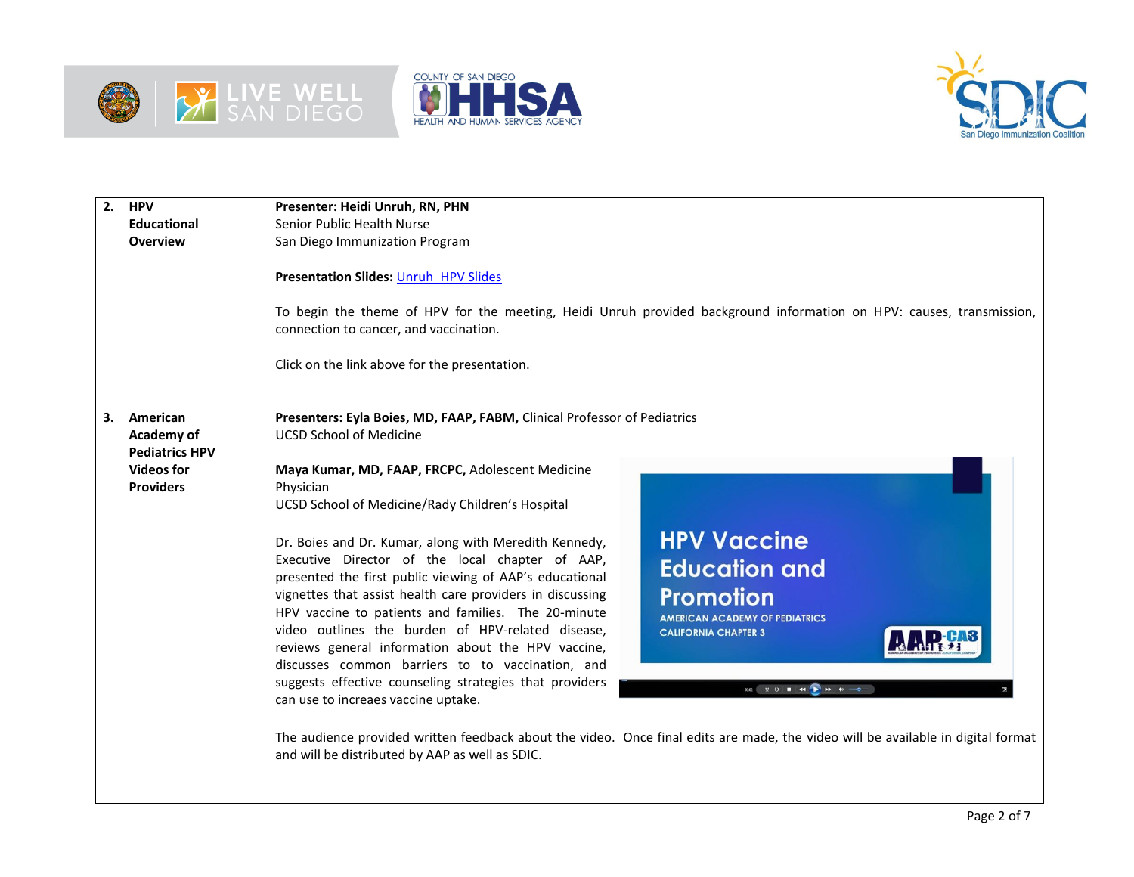





| $\overline{2}$ . | <b>HPV</b><br><b>Educational</b><br><b>Overview</b>                                      | Presenter: Heidi Unruh, RN, PHN<br>Senior Public Health Nurse<br>San Diego Immunization Program<br><b>Presentation Slides: Unruh HPV Slides</b><br>To begin the theme of HPV for the meeting, Heidi Unruh provided background information on HPV: causes, transmission,<br>connection to cancer, and vaccination.                                                                                                                                                                                                                                                                                                                                                                                                                                                                                                                                                                                                                                                                                                                                                                                                                                                                                                                                                                                                                                                                                                                                     |  |  |  |  |  |
|------------------|------------------------------------------------------------------------------------------|-------------------------------------------------------------------------------------------------------------------------------------------------------------------------------------------------------------------------------------------------------------------------------------------------------------------------------------------------------------------------------------------------------------------------------------------------------------------------------------------------------------------------------------------------------------------------------------------------------------------------------------------------------------------------------------------------------------------------------------------------------------------------------------------------------------------------------------------------------------------------------------------------------------------------------------------------------------------------------------------------------------------------------------------------------------------------------------------------------------------------------------------------------------------------------------------------------------------------------------------------------------------------------------------------------------------------------------------------------------------------------------------------------------------------------------------------------|--|--|--|--|--|
|                  |                                                                                          | Click on the link above for the presentation.                                                                                                                                                                                                                                                                                                                                                                                                                                                                                                                                                                                                                                                                                                                                                                                                                                                                                                                                                                                                                                                                                                                                                                                                                                                                                                                                                                                                         |  |  |  |  |  |
| 3.               | American<br>Academy of<br><b>Pediatrics HPV</b><br><b>Videos for</b><br><b>Providers</b> | Presenters: Eyla Boies, MD, FAAP, FABM, Clinical Professor of Pediatrics<br><b>UCSD School of Medicine</b><br>Maya Kumar, MD, FAAP, FRCPC, Adolescent Medicine<br>Physician<br>UCSD School of Medicine/Rady Children's Hospital<br><b>HPV Vaccine</b><br>Dr. Boies and Dr. Kumar, along with Meredith Kennedy,<br>Executive Director of the local chapter of AAP,<br><b>Education and</b><br>presented the first public viewing of AAP's educational<br><b>Promotion</b><br>vignettes that assist health care providers in discussing<br>HPV vaccine to patients and families. The 20-minute<br><b>AMERICAN ACADEMY OF PEDIATRICS</b><br>video outlines the burden of HPV-related disease,<br><b>CALIFORNIA CHAPTER 3</b><br>reviews general information about the HPV vaccine,<br>discusses common barriers to to vaccination, and<br>suggests effective counseling strategies that providers<br>$0001$ $\frac{1}{2}$ $\frac{1}{2}$ $\frac{1}{2}$ $\frac{1}{2}$ $\frac{1}{2}$ $\frac{1}{2}$ $\frac{1}{2}$ $\frac{1}{2}$ $\frac{1}{2}$ $\frac{1}{2}$ $\frac{1}{2}$ $\frac{1}{2}$ $\frac{1}{2}$ $\frac{1}{2}$ $\frac{1}{2}$ $\frac{1}{2}$ $\frac{1}{2}$ $\frac{1}{2}$ $\frac{1}{2}$ $\frac{1}{2}$ $\frac{1}{2}$ $\frac{$<br>can use to increaes vaccine uptake.<br>The audience provided written feedback about the video. Once final edits are made, the video will be available in digital format<br>and will be distributed by AAP as well as SDIC. |  |  |  |  |  |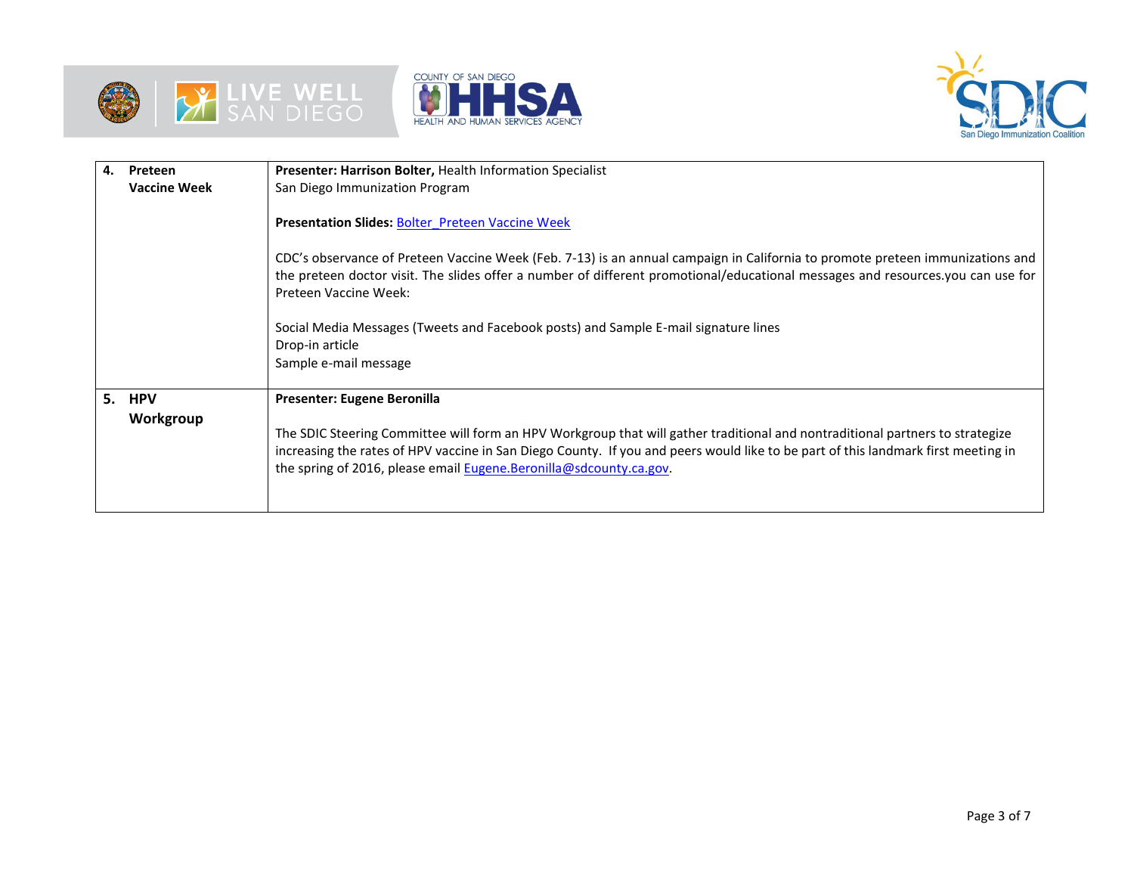





| 4. | Preteen             | Presenter: Harrison Bolter, Health Information Specialist                                                                                                                                                                                                                                                                                |  |  |  |  |
|----|---------------------|------------------------------------------------------------------------------------------------------------------------------------------------------------------------------------------------------------------------------------------------------------------------------------------------------------------------------------------|--|--|--|--|
|    | <b>Vaccine Week</b> | San Diego Immunization Program                                                                                                                                                                                                                                                                                                           |  |  |  |  |
|    |                     | <b>Presentation Slides: Bolter Preteen Vaccine Week</b>                                                                                                                                                                                                                                                                                  |  |  |  |  |
|    |                     | CDC's observance of Preteen Vaccine Week (Feb. 7-13) is an annual campaign in California to promote preteen immunizations and<br>the preteen doctor visit. The slides offer a number of different promotional/educational messages and resources you can use for<br>Preteen Vaccine Week:                                                |  |  |  |  |
|    |                     | Social Media Messages (Tweets and Facebook posts) and Sample E-mail signature lines<br>Drop-in article<br>Sample e-mail message                                                                                                                                                                                                          |  |  |  |  |
|    | 5. HPV              | Presenter: Eugene Beronilla                                                                                                                                                                                                                                                                                                              |  |  |  |  |
|    | Workgroup           | The SDIC Steering Committee will form an HPV Workgroup that will gather traditional and nontraditional partners to strategize<br>increasing the rates of HPV vaccine in San Diego County. If you and peers would like to be part of this landmark first meeting in<br>the spring of 2016, please email Eugene.Beronilla@sdcounty.ca.gov. |  |  |  |  |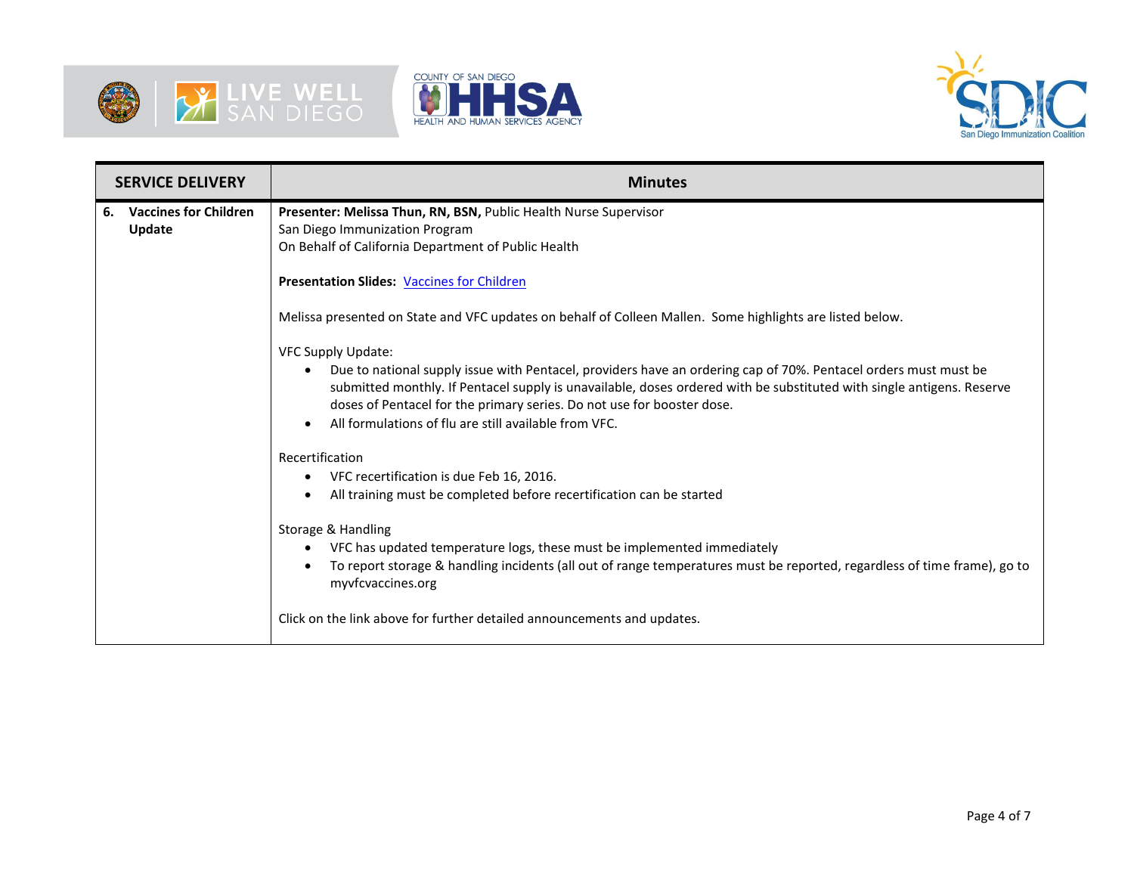





| <b>SERVICE DELIVERY</b> |                                        | <b>Minutes</b>                                                                                                                                                                                                                                                                                                                  |  |  |  |  |
|-------------------------|----------------------------------------|---------------------------------------------------------------------------------------------------------------------------------------------------------------------------------------------------------------------------------------------------------------------------------------------------------------------------------|--|--|--|--|
| 6.                      | <b>Vaccines for Children</b><br>Update | Presenter: Melissa Thun, RN, BSN, Public Health Nurse Supervisor<br>San Diego Immunization Program<br>On Behalf of California Department of Public Health                                                                                                                                                                       |  |  |  |  |
|                         |                                        | <b>Presentation Slides: Vaccines for Children</b>                                                                                                                                                                                                                                                                               |  |  |  |  |
|                         |                                        | Melissa presented on State and VFC updates on behalf of Colleen Mallen. Some highlights are listed below.                                                                                                                                                                                                                       |  |  |  |  |
|                         |                                        | VFC Supply Update:                                                                                                                                                                                                                                                                                                              |  |  |  |  |
|                         |                                        | Due to national supply issue with Pentacel, providers have an ordering cap of 70%. Pentacel orders must must be<br>$\bullet$<br>submitted monthly. If Pentacel supply is unavailable, doses ordered with be substituted with single antigens. Reserve<br>doses of Pentacel for the primary series. Do not use for booster dose. |  |  |  |  |
|                         |                                        | All formulations of flu are still available from VFC.                                                                                                                                                                                                                                                                           |  |  |  |  |
|                         |                                        | Recertification                                                                                                                                                                                                                                                                                                                 |  |  |  |  |
|                         |                                        | VFC recertification is due Feb 16, 2016.<br>٠                                                                                                                                                                                                                                                                                   |  |  |  |  |
|                         |                                        | All training must be completed before recertification can be started                                                                                                                                                                                                                                                            |  |  |  |  |
|                         |                                        | Storage & Handling                                                                                                                                                                                                                                                                                                              |  |  |  |  |
|                         |                                        | VFC has updated temperature logs, these must be implemented immediately                                                                                                                                                                                                                                                         |  |  |  |  |
|                         |                                        | To report storage & handling incidents (all out of range temperatures must be reported, regardless of time frame), go to<br>myvfcvaccines.org                                                                                                                                                                                   |  |  |  |  |
|                         |                                        | Click on the link above for further detailed announcements and updates.                                                                                                                                                                                                                                                         |  |  |  |  |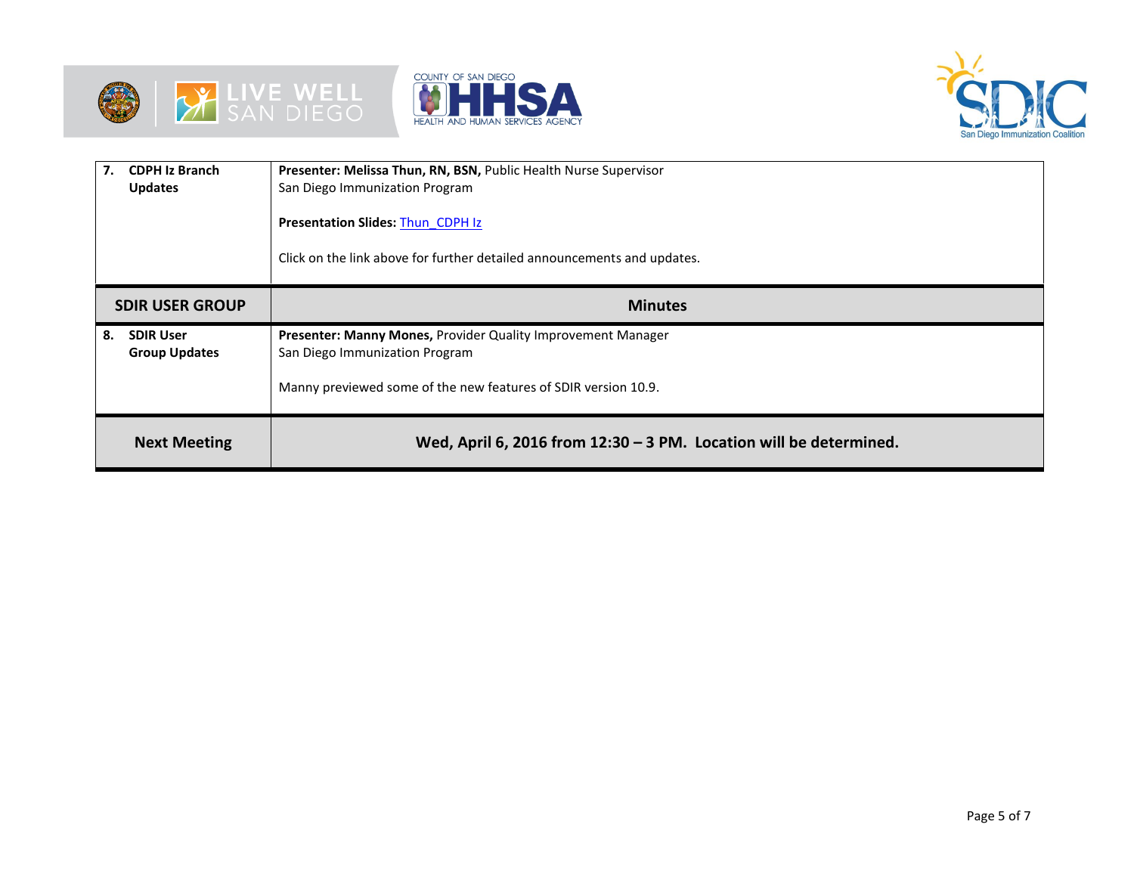





| 7.<br><b>CDPH Iz Branch</b><br><b>Updates</b>  | Presenter: Melissa Thun, RN, BSN, Public Health Nurse Supervisor<br>San Diego Immunization Program |  |  |  |  |
|------------------------------------------------|----------------------------------------------------------------------------------------------------|--|--|--|--|
|                                                | <b>Presentation Slides: Thun CDPH Iz</b>                                                           |  |  |  |  |
|                                                | Click on the link above for further detailed announcements and updates.                            |  |  |  |  |
| <b>SDIR USER GROUP</b>                         | <b>Minutes</b>                                                                                     |  |  |  |  |
| <b>SDIR User</b><br>8.<br><b>Group Updates</b> | Presenter: Manny Mones, Provider Quality Improvement Manager<br>San Diego Immunization Program     |  |  |  |  |
|                                                | Manny previewed some of the new features of SDIR version 10.9.                                     |  |  |  |  |
| <b>Next Meeting</b>                            | Wed, April 6, 2016 from $12:30 - 3$ PM. Location will be determined.                               |  |  |  |  |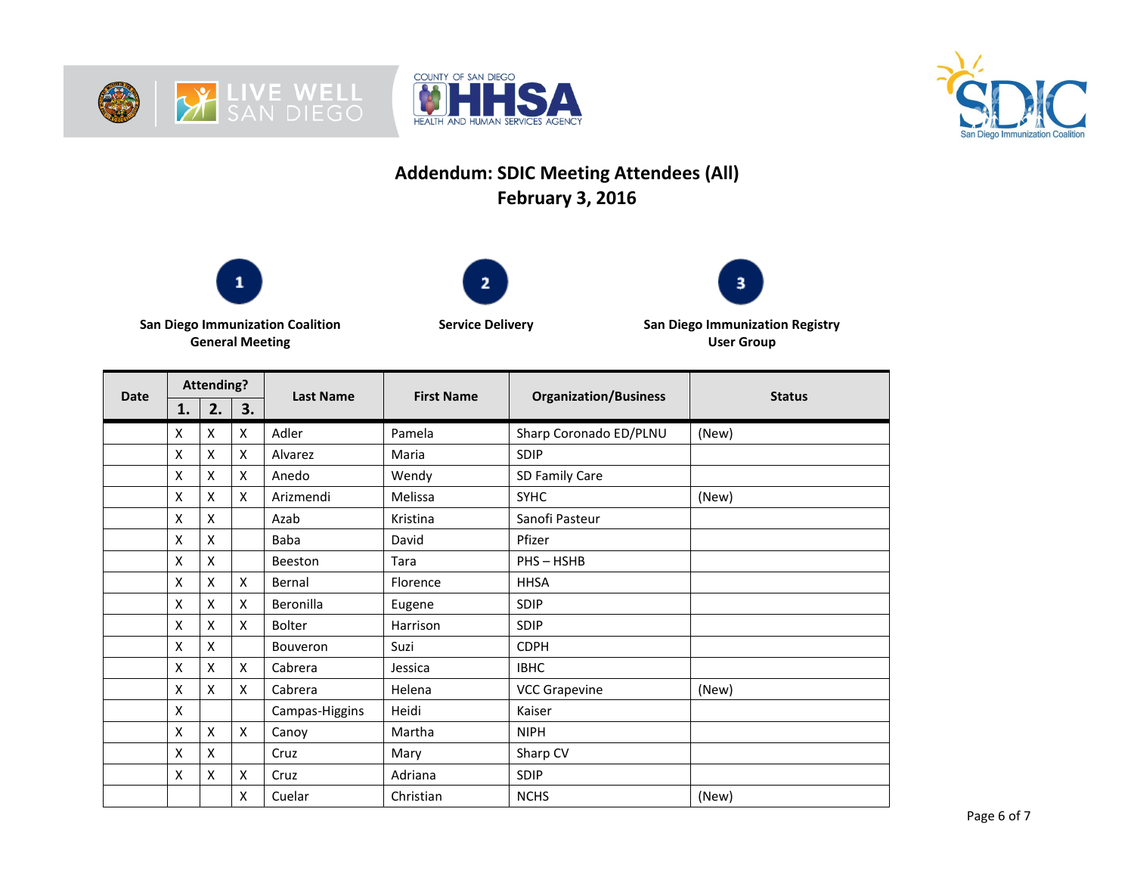





## **Addendum: SDIC Meeting Attendees (All) February 3, 2016**







**San Diego Immunization Coalition General Meeting**

**Service Delivery San Diego Immunization Registry User Group**

| <b>Date</b> | <b>Attending?</b> |                           |    |                  | <b>First Name</b> |                              | <b>Status</b> |
|-------------|-------------------|---------------------------|----|------------------|-------------------|------------------------------|---------------|
|             | 1.                | 2.                        | 3. | <b>Last Name</b> |                   | <b>Organization/Business</b> |               |
|             | x                 | X                         | X  | Adler            | Pamela            | Sharp Coronado ED/PLNU       | (New)         |
|             | x                 | X                         | X  | Alvarez          | Maria             | SDIP                         |               |
|             | X                 | $\pmb{\times}$            | X  | Anedo            | Wendy             | SD Family Care               |               |
|             | X                 | X                         | X  | Arizmendi        | Melissa           | <b>SYHC</b>                  | (New)         |
|             | x                 | X                         |    | Azab             | Kristina          | Sanofi Pasteur               |               |
|             | Χ                 | X                         |    | Baba             | David             | Pfizer                       |               |
|             | Χ                 | X                         |    | Beeston          | Tara              | PHS-HSHB                     |               |
|             | x                 | X                         | X  | Bernal           | Florence          | <b>HHSA</b>                  |               |
|             | X                 | X                         | X  | Beronilla        | Eugene            | SDIP                         |               |
|             | X                 | $\boldsymbol{\mathsf{x}}$ | X  | <b>Bolter</b>    | Harrison          | <b>SDIP</b>                  |               |
|             | Χ                 | X                         |    | <b>Bouveron</b>  | Suzi              | <b>CDPH</b>                  |               |
|             | X                 | X                         | X  | Cabrera          | Jessica           | <b>IBHC</b>                  |               |
|             | X                 | X                         | X  | Cabrera          | Helena            | <b>VCC Grapevine</b>         | (New)         |
|             | Χ                 |                           |    | Campas-Higgins   | Heidi             | Kaiser                       |               |
|             | X                 | X                         | X  | Canoy            | Martha            | <b>NIPH</b>                  |               |
|             | X                 | X                         |    | Cruz             | Mary              | Sharp CV                     |               |
|             | x                 | X                         | X  | Cruz             | Adriana           | SDIP                         |               |
|             |                   |                           | X  | Cuelar           | Christian         | <b>NCHS</b>                  | (New)         |